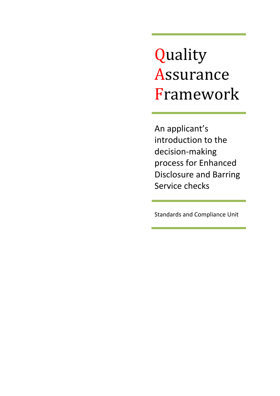Quality Assurance Framework

An applicant's introduction to the decision-making process for Enhanced Disclosure and Barring Service checks

Standards and Compliance Unit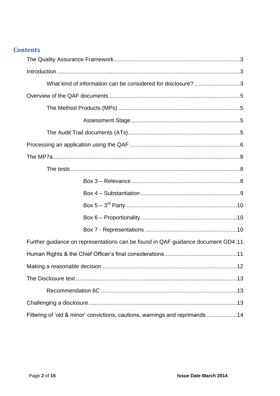## **Contents**

| What kind of information can be considered for disclosure?3                      |
|----------------------------------------------------------------------------------|
|                                                                                  |
|                                                                                  |
|                                                                                  |
|                                                                                  |
|                                                                                  |
|                                                                                  |
|                                                                                  |
|                                                                                  |
|                                                                                  |
|                                                                                  |
|                                                                                  |
|                                                                                  |
| Further guidance on representations can be found in QAF guidance document GD4.11 |
|                                                                                  |
|                                                                                  |
|                                                                                  |
|                                                                                  |
|                                                                                  |
| Filtering of 'old & minor' convictions, cautions, warnings and reprimands 14     |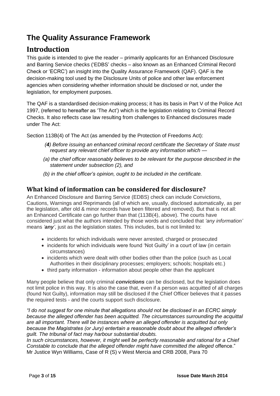# <span id="page-2-0"></span>**The Quality Assurance Framework**

# <span id="page-2-1"></span>**Introduction**

This guide is intended to give the reader – primarily applicants for an Enhanced Disclosure and Barring Service checks ("EDBS" checks – also known as an Enhanced Criminal Record Check or "ECRC") an insight into the Quality Assurance Framework (QAF). QAF is the decision-making tool used by the Disclosure Units of police and other law enforcement agencies when considering whether information should be disclosed or not, under the legislation, for employment purposes.

The QAF is a standardised decision-making process; it has its basis in Part V of the Police Act 1997, (referred to hereafter as "The Act") which is the legislation relating to Criminal Record Checks. It also reflects case law resulting from challenges to Enhanced disclosures made under The Act:

Section 113B(4) of The Act (as amended by the Protection of Freedoms Act):

- *(4) Before issuing an enhanced criminal record certificate the Secretary of State must request any relevant chief officer to provide any information which —*
- *(a) the chief officer reasonably believes to be relevant for the purpose described in the statement under subsection (2), and*
- *(b) in the chief officer's opinion, ought to be included in the certificate.*

## <span id="page-2-2"></span>**What kind of information can be considered for disclosure?**

An Enhanced Disclosure and Barring Service (EDBS) check can include Convictions, Cautions, Warnings and Reprimands (all of which are, usually, disclosed automatically, as per the legislation, after old & minor records have been filtered and removed). But that is not all: an Enhanced Certificate can go further than that (113B(4), above). The courts have considered just what the authors intended by those words and concluded that *‗any information'* means *‗any'*, just as the legislation states. This includes, but is not limited to:

- incidents for which individuals were never arrested, charged or prosecuted
- incidents for which individuals were found 'Not Guilty' in a court of law (in certain circumstances)
- incidents which were dealt with other bodies other than the police (such as Local Authorities in their disciplinary processes; employers; schools; hospitals etc.)
- third party information information about people other than the applicant

Many people believe that only criminal *convictions* can be disclosed, but the legislation does not limit police in this way. It is also the case that, even if a person was acquitted of all charges (found Not Guilty), information may still be disclosed if the Chief Officer believes that it passes the required tests - and the courts support such disclosure.

*―I do not suggest for one minute that allegations should not be disclosed in an ECRC simply because the alleged offender has been acquitted. The circumstances surrounding the acquittal are all important. There will be instances where an alleged offender is acquitted but only because the Magistrates (or Jury) entertain a reasonable doubt about the alleged offender's guilt. The tribunal of fact may harbour substantial doubts.*

*In such circumstances, however, it might well be perfectly reasonable and rational for a Chief Constable to conclude that the alleged offender might have committed the alleged* offence." Mr Justice Wyn Williams, Case of R (S) v West Mercia and CRB 2008, Para 70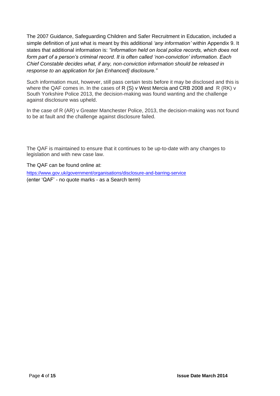The 2007 Guidance, Safeguarding Children and Safer Recruitment in Education, included a simple definition of just what is meant by this additional *‗any information'* within Appendix 9. It states that additional information is: *"information held on local police records, which does not form part of a person's criminal record. It is often called ‗non-conviction' information. Each Chief Constable decides what, if any, non-conviction information should be released in response to an application for [an Enhanced] disclosure.‖*

Such information must, however, still pass certain tests before it may be disclosed and this is where the QAF comes in. In the cases of R  $(S)$  v West Mercia and CRB 2008 and R  $(RK)$  v South Yorkshire Police 2013, the decision-making was found wanting and the challenge against disclosure was upheld.

In the case of R (AR) v Greater Manchester Police, 2013, the decision-making was not found to be at fault and the challenge against disclosure failed.

The QAF is maintained to ensure that it continues to be up-to-date with any changes to legislation and with new case law.

The QAF can be found online at:

<https://www.gov.uk/government/organisations/disclosure-and-barring-service> (enter "QAF" - no quote marks - as a Search term)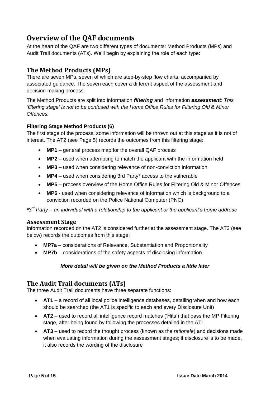## <span id="page-4-0"></span>**Overview of the QAF documents**

At the heart of the QAF are two different types of documents: Method Products (MPs) and Audit Trail documents (ATs). We"ll begin by explaining the role of each type:

## <span id="page-4-1"></span>**The Method Products (MPs)**

There are seven MPs, seven of which are step-by-step flow charts, accompanied by associated guidance. The seven each cover a different aspect of the assessment and decision-making process.

The Method Products are split into information *filtering* and information *assessment*: *This ‗filtering stage' is not to be confused with the Home Office Rules for Filtering Old & Minor Offences.*

### **Filtering Stage Method Products (6)**

The first stage of the process; some information will be thrown out at this stage as it is not of interest. The AT2 (see Page 5) records the outcomes from this filtering stage:

- **MP1** general process map for the overall QAF process
- **MP2** used when attempting to match the applicant with the information held
- **MP3** used when considering relevance of non-conviction information
- **MP4** used when considering 3rd Party\* access to the vulnerable
- **MP5** process overview of the Home Office Rules for Filtering Old & Minor Offences
- **MP6** used when considering relevance of information which is background to a conviction recorded on the Police National Computer (PNC)

*\*3 rd Party – an individual with a relationship to the applicant or the applicant's home address*

### <span id="page-4-2"></span>**Assessment Stage**

Information recorded on the AT2 is considered further at the assessment stage. The AT3 (see below) records the outcomes from this stage:

- **MP7a** considerations of Relevance, Substantiation and Proportionality
- **MP7b** considerations of the safety aspects of disclosing information

### *More detail will be given on the Method Products a little later*

## <span id="page-4-3"></span>**The Audit Trail documents (ATs)**

The three Audit Trail documents have three separate functions:

- **AT1** a record of all local police intelligence databases, detailing when and how each should be searched (the AT1 is specific to each and every Disclosure Unit)
- AT2 used to record all intelligence record matches ('Hits') that pass the MP Filtering stage, after being found by following the processes detailed in the AT1
- **AT3** used to record the thought process (known as the *rationale*) and decisions made when evaluating information during the assessment stages; if disclosure is to be made, it also records the wording of the disclosure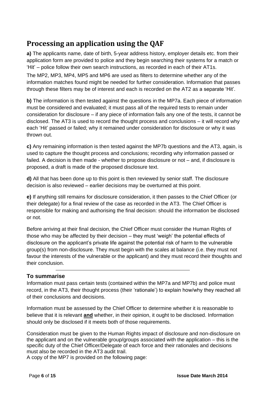# <span id="page-5-0"></span>**Processing an application using the QAF**

**a)** The applicants name, date of birth, 5-year address history, employer details etc. from their application form are provided to police and they begin searching their systems for a match or "Hit" – police follow their own search instructions, as recorded in each of their AT1s.

The MP2, MP3, MP4, MP5 and MP6 are used as filters to determine whether any of the information matches found might be needed for further consideration. Information that passes through these filters may be of interest and each is recorded on the AT2 as a separate "Hit".

**b)** The information is then tested against the questions in the MP7a. Each piece of information must be considered and evaluated; it must pass all of the required tests to remain under consideration for disclosure – if any piece of information fails any one of the tests, it cannot be disclosed. The AT3 is used to record the thought process and conclusions – it will record why each "Hit" passed or failed; why it remained under consideration for disclosure or why it was thrown out.

**c)** Any remaining information is then tested against the MP7b questions and the AT3, again, is used to capture the thought process and conclusions; recording why information passed or failed. A decision is then made - whether to propose disclosure or not – and, if disclosure is proposed, a draft is made of the proposed disclosure text.

**d)** All that has been done up to this point is then reviewed by senior staff. The disclosure decision is also reviewed – earlier decisions may be overturned at this point.

**e)** If anything still remains for disclosure consideration, it then passes to the Chief Officer (or their delegate) for a final review of the case as recorded in the AT3. The Chief Officer is responsible for making and authorising the final decision: should the information be disclosed or not.

Before arriving at their final decision, the Chief Officer must consider the Human Rights of those who may be affected by their decision – they must "weigh" the potential effects of disclosure on the applicant"s private life against the potential risk of harm to the vulnerable group(s) from non-disclosure. They must begin with the scales at balance (i.e. they must not favour the interests of the vulnerable or the applicant) and they must record their thoughts and their conclusion.

### **To summarise**

Information must pass certain tests (contained within the MP7a and MP7b) and police must record, in the AT3, their thought process (their "rationale") to explain how/why they reached all of their conclusions and decisions.

Information must be assessed by the Chief Officer to determine whether it is reasonable to believe that it is relevant **and** whether, in their opinion, it ought to be disclosed. Information should only be disclosed if it meets both of those requirements.

Consideration must be given to the Human Rights impact of disclosure and non-disclosure on the applicant and on the vulnerable group/groups associated with the application – this is the specific duty of the Chief Officer/Delegate of each force and their rationales and decisions must also be recorded in the AT3 audit trail.

A copy of the MP7 is provided on the following page: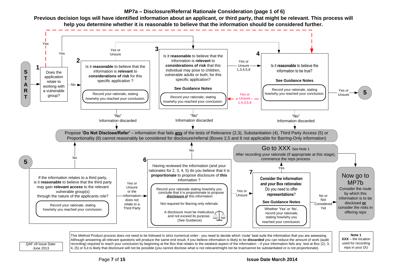#### **MP7a – Disclosure/Referral Rationale Consideration (page 1 of 6)**



recording) required to reach your conclusion by beginning at the Box that relates to the weakest aspect of the information – if your information fails any test at Box (2), 3, 4, (5) or 6,it is likely that disclosure will not be possible (you cannot disclose what is not relevant/might not be true/cannot be substantiated or is not proportionate).

Previous decision logs will have identified information about an applicant, or third party, that might be relevant. This process will **help you determine whether it is reasonable to believe that the information should be considered further.**

QAF v9 Issue Date: June 2013

Page **7** of **15 Issue Date March 2014**

used for recording reps in your DU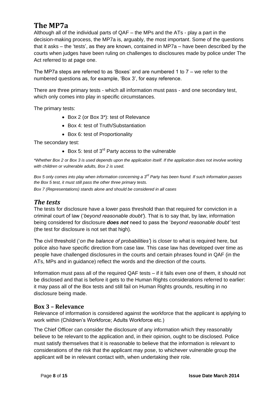## <span id="page-7-0"></span>**The MP7a**

Although all of the individual parts of QAF – the MPs and the ATs - play a part in the decision-making process, the MP7a is, arguably, the most important. Some of the questions that it asks – the "tests", as they are known, contained in MP7a – have been described by the courts when judges have been ruling on challenges to disclosures made by police under The Act referred to at page one.

The MP7a steps are referred to as 'Boxes' and are numbered 1 to  $7 -$  we refer to the numbered questions as, for example, 'Box 3', for easy reference.

There are three primary tests - which all information must pass - and one secondary test, which only comes into play in specific circumstances.

The primary tests:

- Box 2 (or Box 3\*): test of Relevance
- Box 4: test of Truth/Substantiation
- Box 6: test of Proportionality

The secondary test:

 $\bullet$  Box 5: test of 3<sup>rd</sup> Party access to the vulnerable

*\*Whether Box 2 or Box 3 is used depends upon the application itself. If the application does not involve working with children or vulnerable adults, Box 2 is used.*

*Box 5 only comes into play when information concerning a 3rd Party has been found. If such information passes the Box 5 test, it must still pass the other three primary tests.*

*Box 7 (Representations) stands alone and should be considered in all cases*

### <span id="page-7-1"></span>*The tests*

The tests for disclosure have a lower pass threshold than that required for conviction in a criminal court of law ("*beyond reasonable doubt'*). That is to say that, by law, information being considered for disclosure *does not* need to pass the "*beyond reasonable doubt'* test (the test for disclosure is not set that high).

The civil threshold ("*on the balance of probabilities'*) is closer to what is required here, but police also have specific direction from case law. This case law has developed over time as people have challenged disclosures in the courts and certain phrases found in QAF (in the ATs, MPs and in guidance) reflect the words and the direction of the courts.

Information must pass all of the required QAF tests – if it fails even one of them, it should not be disclosed and that is before it gets to the Human Rights considerations referred to earlier: it may pass all of the Box tests and still fail on Human Rights grounds, resulting in no disclosure being made.

### <span id="page-7-2"></span>**Box 3 – Relevance**

Relevance of information is considered against the workforce that the applicant is applying to work within (Children"s Workforce; Adults Workforce etc.)

The Chief Officer can consider the disclosure of any information which they reasonably believe to be relevant to the application and, in their opinion, ought to be disclosed. Police must satisfy themselves that it is reasonable to believe that the information is relevant to considerations of the risk that the applicant may pose, to whichever vulnerable group the applicant will be in relevant contact with, when undertaking their role.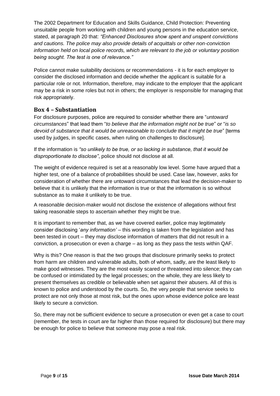The 2002 Department for Education and Skills Guidance, Child Protection: Preventing unsuitable people from working with children and young persons in the education service, stated, at paragraph 20 that: *"Enhanced Disclosures show spent and unspent convictions and cautions. The police may also provide details of acquittals or other non-conviction information held on local police records, which are relevant to the job or voluntary position being sought. The test is one of relevance.‖*

Police cannot make suitability decisions or recommendations - it is for each employer to consider the disclosed information and decide whether the applicant is suitable for a particular role or not. Information, therefore, may indicate to the employer that the applicant may be a risk in some roles but not in others; the employer is responsible for managing that risk appropriately.

### <span id="page-8-0"></span>**Box 4 – Substantiation**

For disclosure purposes, police are required to consider whether there are "*untoward circumstances*" that lead them "*to believe that the information might not be true*" or "*is so devoid of substance that it would be unreasonable to conclude that it might be true*" [terms used by judges, in specific cases, when ruling on challenges to disclosure].

If the information is "so unlikely to be true, or so lacking in substance, that it would be *disproportionate to disclose‖*, police should not disclose at all.

The weight of evidence required is set at a reasonably low level. Some have argued that a higher test, one of a balance of probabilities should be used. Case law, however, asks for consideration of whether there are untoward circumstances that lead the decision-maker to believe that it is unlikely that the information is true or that the information is so without substance as to make it unlikely to be true.

A reasonable decision-maker would not disclose the existence of allegations without first taking reasonable steps to ascertain whether they might be true.

It is important to remember that, as we have covered earlier, police may legitimately consider disclosing "*any information'* – this wording is taken from the legislation and has been tested in court – they may disclose information of matters that did not result in a conviction, a prosecution or even a charge – as long as they pass the tests within QAF.

Why is this? One reason is that the two groups that disclosure primarily seeks to protect from harm are children and vulnerable adults, both of whom, sadly, are the least likely to make good witnesses. They are the most easily scared or threatened into silence; they can be confused or intimidated by the legal processes; on the whole, they are less likely to present themselves as credible or believable when set against their abusers. All of this is known to police and understood by the courts. So, the very people that service seeks to protect are not only those at most risk, but the ones upon whose evidence police are least likely to secure a conviction.

So, there may not be sufficient evidence to secure a prosecution or even get a case to court (remember, the tests in court are far higher than those required for disclosure) but there may be enough for police to believe that someone may pose a real risk.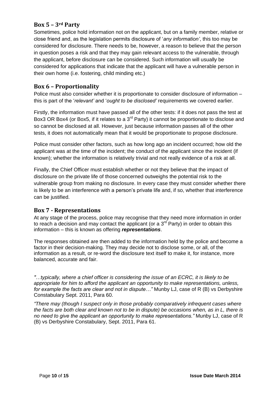### <span id="page-9-0"></span>**Box 5 – 3rd Party**

Sometimes, police hold information not on the applicant, but on a family member, relative or close friend and, as the legislation permits disclosure of "*any information'*, this too may be considered for disclosure. There needs to be, however, a reason to believe that the person in question poses a risk and that they may gain relevant access to the vulnerable, through the applicant, before disclosure can be considered. Such information will usually be considered for applications that indicate that the applicant will have a vulnerable person in their own home (i.e. fostering, child minding etc.)

## <span id="page-9-1"></span>**Box 6 – Proportionality**

Police must also consider whether it is proportionate to consider disclosure of information – this is part of the "*relevant'* and "*ought to be disclosed'* requirements we covered earlier.

Firstly, the information must have passed all of the other tests: if it does not pass the test at Box3 OR Box4 (or Box5, if it relates to a 3<sup>rd</sup> Party) it cannot be proportionate to disclose and so cannot be disclosed at all. However, just because information passes all of the other tests, it does not automatically mean that it would be proportionate to propose disclosure.

Police must consider other factors, such as how long ago an incident occurred; how old the applicant was at the time of the incident; the conduct of the applicant since the incident (if known); whether the information is relatively trivial and not really evidence of a risk at all.

Finally, the Chief Officer must establish whether or not they believe that the impact of disclosure on the private life of those concerned outweighs the potential risk to the vulnerable group from making no disclosure. In every case they must consider whether there is likely to be an interference with a person's private life and, if so, whether that interference can be justified.

### <span id="page-9-2"></span>**Box 7 - Representations**

At any stage of the process, police may recognise that they need more information in order to reach a decision and may contact the applicant (or a  $3<sup>rd</sup>$  Party) in order to obtain this information – this is known as offering *representations*.

The responses obtained are then added to the information held by the police and become a factor in their decision-making. They may decide not to disclose some, or all, of the information as a result, or re-word the disclosure text itself to make it, for instance, more balanced, accurate and fair.

*"…*t*ypically, where a chief officer is considering the issue of an ECRC, it is likely to be appropriate for him to afford the applicant an opportunity to make representations, unless, for example the facts are clear and not in dispute...*" Munby LJ, case of R (B) vs Derbyshire Constabulary Sept. 2011, Para 60.

*―There may (though I suspect only in those probably comparatively infrequent cases where the facts are both clear and known not to be in dispute) be occasions when, as in L, there is no need to give the applicant an opportunity to make representations.‖* Munby LJ, case of R (B) vs Derbyshire Constabulary, Sept. 2011, Para 61.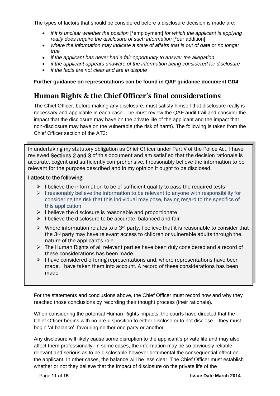The types of factors that should be considered before a disclosure decision is made are:

- *if it is unclear whether the position* [\*employment] *for which the applicant is applying really does require the disclosure of such information* [\*our addition]
- *where the information may indicate a state of affairs that is out of date or no longer true*
- *if the applicant has never had a fair opportunity to answer the allegation*
- *if the applicant appears unaware of the information being considered for disclosure*
- *if the facts are not clear and are in dispute*

### <span id="page-10-0"></span>**Further guidance on representations can be found in QAF guidance document GD4**

## <span id="page-10-1"></span>**Human Rights & the Chief Officer's final considerations**

The Chief Officer, before making any disclosure, must satisfy himself that disclosure really is necessary and applicable in each case – he must review the QAF audit trail and consider the impact that the disclosure may have on the private life of the applicant and the impact that non-disclosure may have on the vulnerable (the risk of harm). The following is taken from the Chief Officer section of the AT3:

In undertaking my statutory obligation as Chief Officer under Part V of the Police Act, I have reviewed Sections 2 and 3 of this document and am satisfied that the decision rationale is accurate, cogent and sufficiently comprehensive. I reasonably believe the information to be relevant for the purpose described and in my opinion it ought to be disclosed.

#### I attest to the following:

- $\triangleright$  I believe the information to be of sufficient quality to pass the required tests
- $\triangleright$  I reasonably believe the information to be relevant to anyone with responsibility for considering the risk that this individual may pose, having regard to the specifics of this application
- $\triangleright$  I believe the disclosure is reasonable and proportionate
- $\triangleright$  I believe the disclosure to be accurate, balanced and fair
- $\triangleright$  Where information relates to a 3<sup>rd</sup> party, I believe that it is reasonable to consider that the 3rd party may have relevant access to children or vulnerable adults through the nature of the applicant's role
- $\triangleright$  The Human Rights of all relevant parties have been duly considered and a record of these considerations has been made
- $\triangleright$  I have considered offering representations and, where representations have been made, I have taken them into account. A record of these considerations has been made

For the statements and conclusions above, the Chief Officer must record how and why they reached those conclusions by recording their thought process (their rationale).

When considering the potential Human Rights impacts, the courts have directed that the Chief Officer begins with no pre-disposition to either disclose or to not disclose – they must begin "at balance", favouring neither one party or another.

Any disclosure will likely cause some disruption to the applicant"s private life and may also affect them professionally. In some cases, the information may be so obviously reliable, relevant and serious as to be disclosable however detrimental the consequential effect on the applicant. In other cases, the balance will be less clear. The Chief Officer must establish whether or not they believe that the impact of disclosure on the private life of the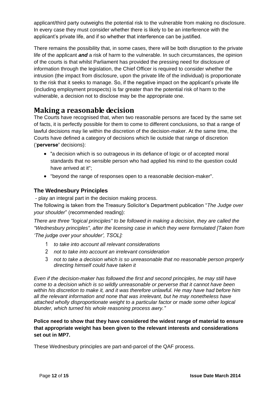applicant/third party outweighs the potential risk to the vulnerable from making no disclosure. In every case they must consider whether there is likely to be an interference with the applicant"s private life, and if so whether that interference can be justified.

There remains the possibility that, in some cases, there will be both disruption to the private life of the applicant *and* a risk of harm to the vulnerable. In such circumstances, the opinion of the courts is that whilst Parliament has provided the pressing need for disclosure of information through the legislation, the Chief Officer is required to consider whether the intrusion (the impact from disclosure, upon the private life of the individual) is proportionate to the risk that it seeks to manage. So, if the negative impact on the applicant"s private life (including employment prospects) is far greater than the potential risk of harm to the vulnerable, a decision not to disclose may be the appropriate one.

## <span id="page-11-0"></span>**Making a reasonable decision**

The Courts have recognised that, when two reasonable persons are faced by the same set of facts, it is perfectly possible for them to come to different conclusions, so that a range of lawful decisions may lie within the discretion of the decision-maker. At the same time, the Courts have defined a category of decisions which lie outside that range of discretion ("**perverse'** decisions):

- "a decision which is so outrageous in its defiance of logic or of accepted moral standards that no sensible person who had applied his mind to the question could have arrived at it";
- "beyond the range of responses open to a reasonable decision-maker".

## **The Wednesbury Principles**

- play an integral part in the decision making process.

The following is taken from the Treasury Solicitor"s Department publication "*The Judge over your shoulder*" (recommended reading):

*There are three "logical principles" to be followed in making a decision, they are called the "Wednesbury principles", after the licensing case in which they were formulated [Taken from ‗The judge over your shoulder', TSOL]:*

- 1 *to take into account all relevant considerations*
- 2 *not to take into account an irrelevant consideration*
- 3 *not to take a decision which is so unreasonable that no reasonable person properly directing himself could have taken it*

*Even if the decision-maker has followed the first and second principles, he may still have come to a decision which is so wildly unreasonable or perverse that it cannot have been within his discretion to make it, and it was therefore unlawful. He may have had before him all the relevant information and none that was irrelevant, but he may nonetheless have attached wholly disproportionate weight to a particular factor or made some other logical blunder, which turned his whole reasoning process awry.‖*

### **Police need to show that they have considered the widest range of material to ensure that appropriate weight has been given to the relevant interests and considerations set out in MP7.**

These Wednesbury principles are part-and-parcel of the QAF process.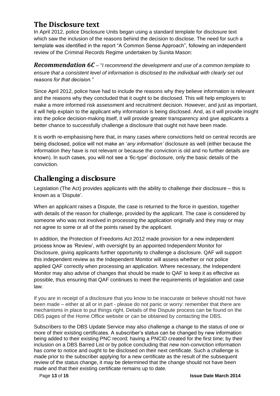## <span id="page-12-0"></span>**The Disclosure text**

In April 2012, police Disclosure Units began using a standard template for disclosure text which saw the inclusion of the reasons behind the decision to disclose. The need for such a template was identified in the report "A Common Sense Approach", following an independent review of the Criminal Records Regime undertaken by Sunita Mason:

<span id="page-12-1"></span>*Recommendation 6C* – "*I recommend the development and use of a common template to ensure that a consistent level of information is disclosed to the individual with clearly set out reasons for that decision.‖*

Since April 2012, police have had to include the reasons why they believe information is relevant and the reasons why they concluded that it ought to be disclosed. This will help employers to make a more informed risk assessment and recruitment decision. However, and just as important, it will help explain to the applicant why information is being disclosed. And, as it will provide insight into the police decision-making itself, it will provide greater transparency and give applicants a better chance to successfully challenge a disclosure that ought not have been made.

It is worth re-emphasising here that, in many cases where convictions held on central records are being disclosed, police will not make an "*any information'* disclosure as well (either because the information they have is not relevant or because the conviction is old and no further details are known). In such cases, you will not see a "6c-type" disclosure, only the basic details of the conviction.

## <span id="page-12-2"></span>**Challenging a disclosure**

Legislation (The Act) provides applicants with the ability to challenge their disclosure – this is known as a "Dispute".

When an applicant raises a Dispute, the case is returned to the force in question, together with details of the reason for challenge, provided by the applicant. The case is considered by someone who was not involved in processing the application originally and they may or may not agree to some or all of the points raised by the applicant.

In addition, the Protection of Freedoms Act 2012 made provision for a new independent process know as "Review", with oversight by an appointed Independent Monitor for Disclosure, giving applicants further opportunity to challenge a disclosure. QAF will support this independent review as the Independent Monitor will assess whether or not police applied QAF correctly when processing an application. Where necessary, the Independent Monitor may also advise of changes that should be made to QAF to keep it as effective as possible, thus ensuring that QAF continues to meet the requirements of legislation and case law.

If you are in receipt of a disclosure that you know to be inaccurate or believe should not have been made – either at all or in part - please do not panic or worry: remember that there are mechanisms in place to put things right. Details of the Dispute process can be found on the DBS pages of the Home Office website or can be obtained by contacting the DBS.

Subscribers to the DBS Update Service may also challenge a change to the status of one or more of their existing certificates. A subscriber"s status can be changed by new information being added to their existing PNC record; having a PNCID created for the first time; by their inclusion on a DBS Barred List or by police concluding that new non-conviction information has come to notice and ought to be disclosed on their next certificate. Such a challenge is made prior to the subscriber applying for a new certificate as the result of the subsequent review of the status change, it may be determined that the change should not have been made and that their existing certificate remains up to date.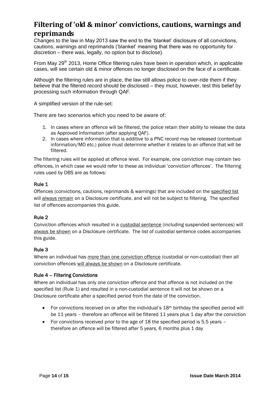# <span id="page-13-0"></span>**Filtering of 'old & minor' convictions, cautions, warnings and reprimands**

Changes to the law in May 2013 saw the end to the "blanket" disclosure of all convictions, cautions, warnings and reprimands ("blanket" meaning that there was no opportunity for discretion – there was, legally, no option but to disclose).

From May 29<sup>th</sup> 2013, Home Office filtering rules have been in operation which, in applicable cases, will see certain old & minor offences no longer disclosed on the face of a certificate.

Although the filtering rules are in place, the law still allows police to over-ride them if they believe that the filtered record should be disclosed – they must, however, test this belief by processing such information through QAF.

A simplified version of the rule-set:

There are two scenarios which you need to be aware of:

- 1. In cases where an offence will be filtered, the police retain their ability to release the data as Approved Information (after applying QAF).
- 2. In cases where information that is additive to a PNC record may be released (contextual information/MO etc.) police must determine whether it relates to an offence that will be filtered.

The filtering rules will be applied at offence level. For example, one conviction may contain two offences, in which case we would refer to these as individual 'conviction offences'. The filtering rules used by DBS are as follows:

#### Rule 1

Offences (convictions, cautions, reprimands & warnings) that are included on the specified list will always remain on a Disclosure certificate, and will not be subject to filtering. The specified list of offences accompanies this guide.

#### Rule 2

Conviction offences which resulted in a custodial sentence (including suspended sentences) will always be shown on a Disclosure certificate. The list of custodial sentence codes accompanies this guide.

#### Rule 3

Where an individual has more than one conviction offence (custodial or non-custodial) then all conviction offences will always be shown on a Disclosure certificate.

#### Rule 4 – Filtering Convictions

Where an individual has only one conviction offence and that offence is not included on the specified list (Rule 1) and resulted in a non-custodial sentence it will not be shown on a Disclosure certificate after a specified period from the date of the conviction.

- For convictions received on or after the individual's  $18<sup>th</sup>$  birthday the specified period will be 11 years - therefore an offence will be filtered 11 years plus 1 day after the conviction
- For convictions received prior to the age of 18 the specified period is 5.5 years therefore an offence will be filtered after 5 years, 6 months plus 1 day